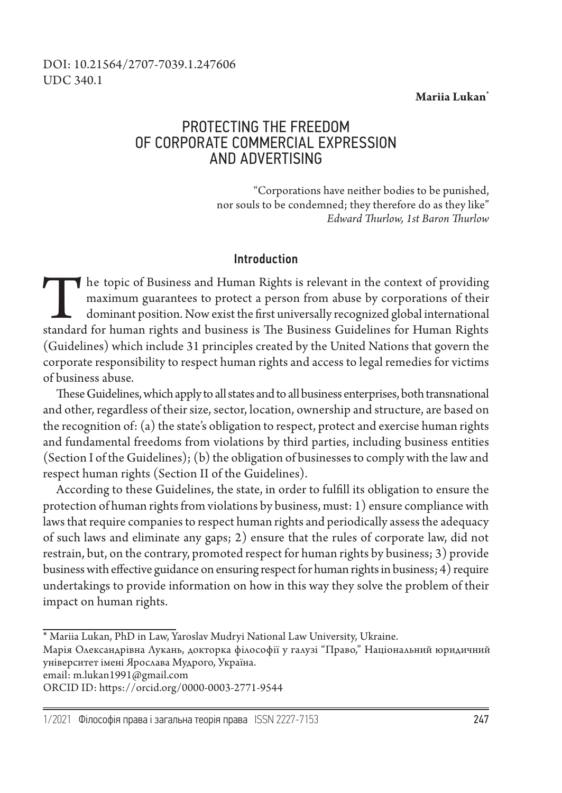#### **Mariia Lukan\***

### DOI: 10.21564/2707-7039.1.247606 UDC 340.1

# PROTECTING THE FREEDOM OF CORPORATE COMMERCIAL EXPRESSION AND ADVERTISING

"Corporations have neither bodies to be punished, nor souls to be condemned; they therefore do as they like" *Edward Thurlow, 1st Baron Thurlow*

#### Introduction

The topic of Business and Human Rights is relevant in the context of providing maximum guarantees to protect a person from abuse by corporations of their dominant position. Now exist the first universally recognized global international standard for human rights and business is The Business Guidelines for Human Rights (Guidelines) which include 31 principles created by the United Nations that govern the corporate responsibility to respect human rights and access to legal remedies for victims of business abuse.

These Guidelines, which apply to all states and to all business enterprises, both transnational and other, regardless of their size, sector, location, ownership and structure, are based on the recognition of: (a) the state's obligation to respect, protect and exercise human rights and fundamental freedoms from violations by third parties, including business entities (Section I of the Guidelines); (b) the obligation of businesses to comply with the law and respect human rights (Section II of the Guidelines).

According to these Guidelines, the state, in order to fulfill its obligation to ensure the protection of human rights from violations by business, must: 1) ensure compliance with laws that require companies to respect human rights and periodically assess the adequacy of such laws and eliminate any gaps; 2) ensure that the rules of corporate law, did not restrain, but, on the contrary, promoted respect for human rights by business; 3) provide business with effective guidance on ensuring respect for human rights in business; 4) require undertakings to provide information on how in this way they solve the problem of their impact on human rights.

email: m.lukan1991@gmail.com

ORCID ID: https://orcid.org/0000-0003-2771-9544

<sup>\*</sup> Mariia Lukan, PhD in Law, Yaroslav Mudryi National Law University, Ukraine.

Марія Олександрівна Лукань, докторка філософії у галузі "Право," Національний юридичний університет імені Ярослава Мудрого, Україна.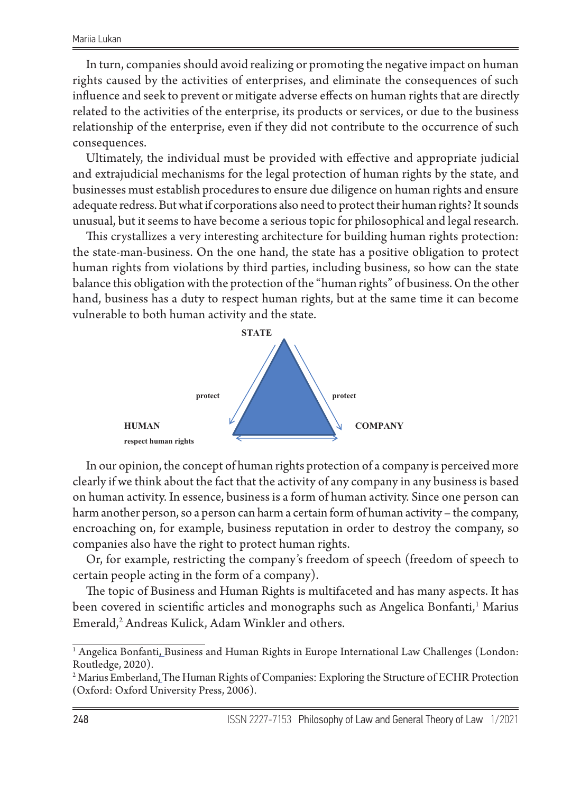In turn, companies should avoid realizing or promoting the negative impact on human rights caused by the activities of enterprises, and eliminate the consequences of such influence and seek to prevent or mitigate adverse effects on human rights that are directly related to the activities of the enterprise, its products or services, or due to the business relationship of the enterprise, even if they did not contribute to the occurrence of such consequences.

Ultimately, the individual must be provided with effective and appropriate judicial and extrajudicial mechanisms for the legal protection of human rights by the state, and businesses must establish procedures to ensure due diligence on human rights and ensure adequate redress. But what if corporations also need to protect their human rights? It sounds unusual, but it seems to have become a serious topic for philosophical and legal research.

This crystallizes a very interesting architecture for building human rights protection: the state-man-business. On the one hand, the state has a positive obligation to protect human rights from violations by third parties, including business, so how can the state balance this obligation with the protection of the "human rights" of business. On the other hand, business has a duty to respect human rights, but at the same time it can become vulnerable to both human activity and the state.



In our opinion, the concept of human rights protection of a company is In our opinion, the concept of human rights protection of a company is perceived more on human activity. In essence, business is a form of human activity. Since one person can harm another person, so a person can harm a certain form of human activity – the company, encroaching on, for example, business reputation in order to destroy the company, so companies also have the right to protect human rights. clearly if we think about the fact that the activity of any company in any business is based

Or, for example, restricting the company's freedom of speech (freedom of speech to certain people acting in the form of a company).

The topic of Business and Human Rights is multifaceted and has many aspects. It has been covered in scientific articles and monographs such as Angelica Bonfanti,<sup>1</sup> Marius Emerald,<sup>2</sup> Andreas Kulick, Adam Winkler and others.

The topic of Business and Human Rights is multifaceted and Human Rights is multipaceted and has many aspects.  $^1$  Angelica Bonfanti, Business and Human Rights in Europe International Law Challenges (London:<br>Routledge 2020) Routledge, 2020).

<sup>&</sup>lt;sup>2</sup> Marius Emberland, The Human Rights of Companies: Exploring the Structure of ECHR Protection (Oxford: Oxford University Press, 2006).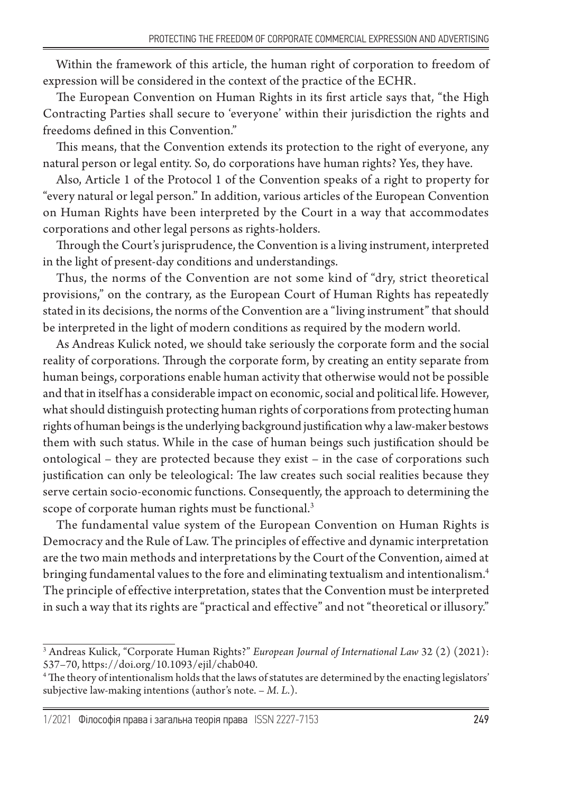Within the framework of this article, the human right of corporation to freedom of expression will be considered in the context of the practice of the ECHR.

The European Convention on Human Rights in its first article says that, "the High Contracting Parties shall secure to 'everyone' within their jurisdiction the rights and freedoms defined in this Convention."

This means, that the Convention extends its protection to the right of everyone, any natural person or legal entity. So, do corporations have human rights? Yes, they have.

Also, Article 1 of the Protocol 1 of the Convention speaks of a right to property for "every natural or legal person." In addition, various articles of the European Convention on Human Rights have been interpreted by the Court in a way that accommodates corporations and other legal persons as rights-holders.

Through the Court's jurisprudence, the Convention is a living instrument, interpreted in the light of present-day conditions and understandings.

Thus, the norms of the Convention are not some kind of "dry, strict theoretical provisions," on the contrary, as the European Court of Human Rights has repeatedly stated in its decisions, the norms of the Convention are a "living instrument" that should be interpreted in the light of modern conditions as required by the modern world.

Аs Andreas Kulick noted, we should take seriously the corporate form and the social reality of corporations. Through the corporate form, by creating an entity separate from human beings, corporations enable human activity that otherwise would not be possible and that in itself has a considerable impact on economic, social and political life. However, what should distinguish protecting human rights of corporations from protecting human rights of human beings is the underlying background justification why a law-maker bestows them with such status. While in the case of human beings such justification should be ontological – they are protected because they exist – in the case of corporations such justification can only be teleological: The law creates such social realities because they serve certain socio-economic functions. Consequently, the approach to determining the scope of corporate human rights must be functional.<sup>3</sup>

The fundamental value system of the European Convention on Human Rights is Democracy and the Rule of Law. The principles of effective and dynamic interpretation are the two main methods and interpretations by the Court of the Convention, aimed at bringing fundamental values to the fore and eliminating textualism and intentionalism.4 The principle of effective interpretation, states that the Convention must be interpreted in such a way that its rights are "practical and effective" and not "theoretical or illusory."

<sup>3</sup> Andreas Kulick, "Corporate Human Rights?" *European Journal of International Law* 32 (2) (2021): 537–70, https://doi.org/10.1093/ejil/chab040.

<sup>4</sup> The theory of intentionalism holds that the laws of statutes are determined by the enacting legislators' subjective law-making intentions (author's note. – *M. L.*).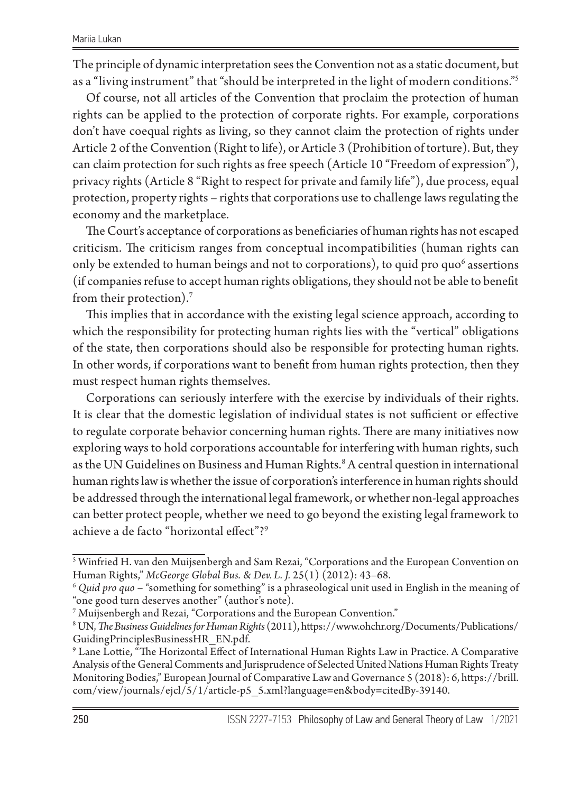The principle of dynamic interpretation sees the Convention not as a static document, but as a "living instrument" that "should be interpreted in the light of modern conditions."<sup>5</sup>

Of course, not all articles of the Convention that proclaim the protection of human rights can be applied to the protection of corporate rights. For example, corporations don't have coequal rights as living, so they cannot claim the protection of rights under Article 2 of the Convention (Right to life), or Article 3 (Prohibition of torture). But, they can claim protection for such rights as free speech (Article 10 "Freedom of expression"), privacy rights (Article 8 "Right to respect for private and family life"), due process, equal protection, property rights – rights that corporations use to challenge laws regulating the economy and the marketplace.

The Court's acceptance of corporations as beneficiaries of human rights has not escaped criticism. The criticism ranges from conceptual incompatibilities (human rights can only be extended to human beings and not to corporations), to quid pro quo $^6$  assertions (if companies refuse to accept human rights obligations, they should not be able to benefit from their protection).7

This implies that in accordance with the existing legal science approach, according to which the responsibility for protecting human rights lies with the "vertical" obligations of the state, then corporations should also be responsible for protecting human rights. In other words, if corporations want to benefit from human rights protection, then they must respect human rights themselves.

Corporations can seriously interfere with the exercise by individuals of their rights. It is clear that the domestic legislation of individual states is not sufficient or effective to regulate corporate behavior concerning human rights. There are many initiatives now exploring ways to hold corporations accountable for interfering with human rights, such as the UN Guidelines on Business and Human Rights.<sup>8</sup> A central question in international human rights law is whether the issue of corporation's interference in human rights should be addressed through the international legal framework, or whether non-legal approaches can better protect people, whether we need to go beyond the existing legal framework to achieve a de facto "horizontal effect"?9

 $^{\mathrm{5}}$  Winfried H. van den Muijsenbergh and Sam Rezai, "Corporations and the European Convention on Human Rights," *McGeorge Global Bus. & Dev. L. J.* 25(1) (2012): 43–68.

<sup>6</sup> *Quid pro quo* – "something for something" is a phraseological unit used in English in the meaning of "one good turn deserves another" (author's note).

 $^7$  Muijsenbergh and Rezai, "Corporations and the European Convention."

<sup>8</sup> UN, *The Business Guidelines for Human Rights* (2011), https://www.ohchr.org/Documents/Publications/ GuidingPrinciplesBusinessHR\_EN.pdf.

 $^9$  Lane Lottie, "The Horizontal Effect of International Human Rights Law in Practice. A Comparative Analysis of the General Comments and Jurisprudence of Selected United Nations Human Rights Treaty Monitoring Bodies," European Journal of Comparative Law and Governance 5 (2018): 6, https://brill. com/view/journals/ejcl/5/1/article-p5\_5.xml?language=en&body=citedBy-39140.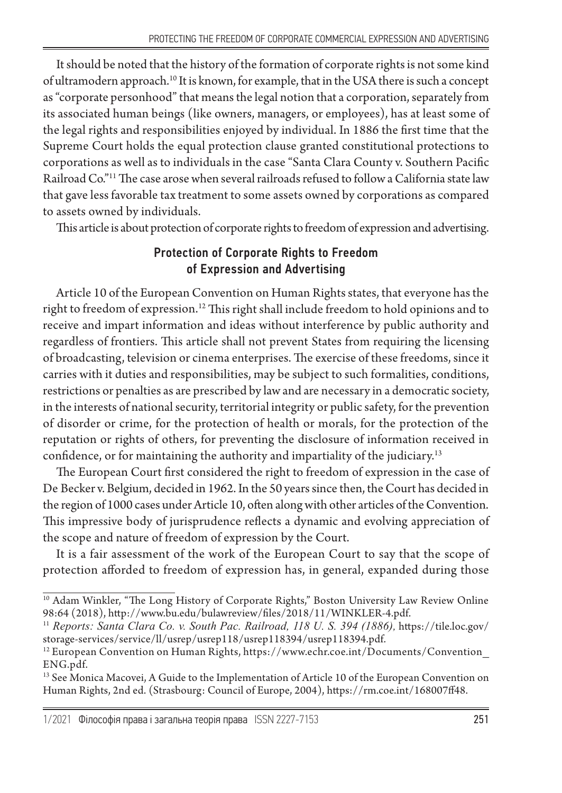It should be noted that the history of the formation of corporate rights is not some kind of ultramodern approach.10 It is known, for example, that in the USA there is such a concept as "corporate personhood" that means the legal notion that a corporation, separately from its associated human beings (like owners, managers, or employees), has at least some of the legal rights and responsibilities enjoyed by individual. In 1886 the first time that the Supreme Court holds the equal protection clause granted constitutional protections to corporations as well as to individuals in the case "Santa Clara County v. Southern Pacific Railroad Co."11 The case arose when several railroads refused to follow a California state law that gave less favorable tax treatment to some assets owned by corporations as compared to assets owned by individuals.

This article is about protection of corporate rights to freedom of expression and advertising.

## Protection of Сorporate Rights to Freedom of Expression and Advertising

Article 10 of the European Convention on Human Rights states, that everyone has the right to freedom of expression.12 This right shall include freedom to hold opinions and to receive and impart information and ideas without interference by public authority and regardless of frontiers. This article shall not prevent States from requiring the licensing of broadcasting, television or cinema enterprises. The exercise of these freedoms, since it carries with it duties and responsibilities, may be subject to such formalities, conditions, restrictions or penalties as are prescribed by law and are necessary in a democratic society, in the interests of national security, territorial integrity or public safety, for the prevention of disorder or crime, for the protection of health or morals, for the protection of the reputation or rights of others, for preventing the disclosure of information received in confidence, or for maintaining the authority and impartiality of the judiciary.13

The European Court first considered the right to freedom of expression in the case of De Becker v. Belgium, decided in 1962. In the 50 years since then, the Court has decided in the region of 1000 cases under Article 10, often along with other articles of the Convention. This impressive body of jurisprudence reflects a dynamic and evolving appreciation of the scope and nature of freedom of expression by the Court.

It is a fair assessment of the work of the European Court to say that the scope of protection afforded to freedom of expression has, in general, expanded during those

<sup>&</sup>lt;sup>10</sup> Adam Winkler, "The Long History of Corporate Rights," Boston University Law Review Online 98:64 (2018), http://www.bu.edu/bulawreview/files/2018/11/WINKLER-4.pdf.

<sup>11</sup> *Reports: Santa Clara Co. v. South Pac. Railroad, 118 U. S. 394 (1886),* https://tile.loc.gov/ storage-services/service/ll/usrep/usrep118/usrep118394/usrep118394.pdf.

<sup>12</sup> European Convention on Human Rights, https://www.echr.coe.int/Documents/Convention\_ ENG.pdf.

<sup>&</sup>lt;sup>13</sup> See Monica Macovei, A Guide to the Implementation of Article 10 of the European Convention on Human Rights, 2nd ed. (Strasbourg: Council of Europe, 2004), https://rm.coe.int/168007ff48.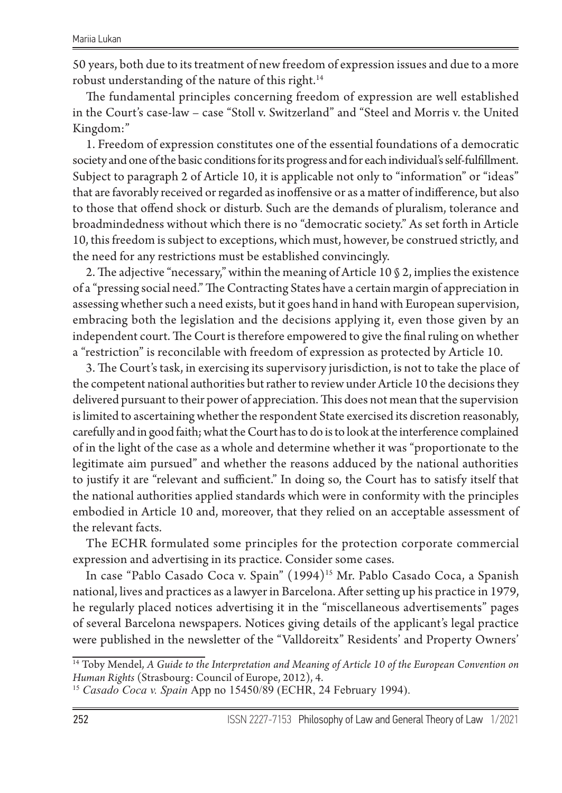50 years, both due to its treatment of new freedom of expression issues and due to a more robust understanding of the nature of this right.<sup>14</sup>

The fundamental principles concerning freedom of expression are well established in the Court's case-law – case "Stoll v. Switzerland" and "Steel and Morris v. the United Kingdom:"

1. Freedom of expression constitutes one of the essential foundations of a democratic society and one of the basic conditions for its progress and for each individual's self-fulfillment. Subject to paragraph 2 of Article 10, it is applicable not only to "information" or "ideas" that are favorably received or regarded as inoffensive or as a matter of indifference, but also to those that offend shock or disturb. Such are the demands of pluralism, tolerance and broadmindedness without which there is no "democratic society." As set forth in Article 10, this freedom is subject to exceptions, which must, however, be construed strictly, and the need for any restrictions must be established convincingly.

2. The adjective "necessary," within the meaning of Article 10 § 2, implies the existence of a "pressing social need." The Contracting States have a certain margin of appreciation in assessing whether such a need exists, but it goes hand in hand with European supervision, embracing both the legislation and the decisions applying it, even those given by an independent court. The Court is therefore empowered to give the final ruling on whether a "restriction" is reconcilable with freedom of expression as protected by Article 10.

3. The Court's task, in exercising its supervisory jurisdiction, is not to take the place of the competent national authorities but rather to review under Article 10 the decisions they delivered pursuant to their power of appreciation. This does not mean that the supervision is limited to ascertaining whether the respondent State exercised its discretion reasonably, carefully and in good faith; what the Court has to do is to look at the interference complained of in the light of the case as a whole and determine whether it was "proportionate to the legitimate aim pursued" and whether the reasons adduced by the national authorities to justify it are "relevant and sufficient." In doing so, the Court has to satisfy itself that the national authorities applied standards which were in conformity with the principles embodied in Article 10 and, moreover, that they relied on an acceptable assessment of the relevant facts.

The ECHR formulated some principles for the protection corporate commercial expression and advertising in its practice. Consider some cases.

In case "Pablo Casado Coca v. Spain" (1994)<sup>15</sup> Mr. Pablo Casado Coca, a Spanish national, lives and practices as a lawyer in Barcelona. After setting up his practice in 1979, he regularly placed notices advertising it in the "miscellaneous advertisements" pages of several Barcelona newspapers. Notices giving details of the applicant's legal practice were published in the newsletter of the "Valldoreitx" Residents' and Property Owners'

<sup>14</sup> Toby Mendel, *A Guide to the Interpretation and Meaning of Article 10 of the European Convention on Human Rights* (Strasbourg: Council of Europe, 2012), 4.

<sup>15</sup> *Casado Coca v. Spain* App no 15450/89 (ECHR, 24 February 1994).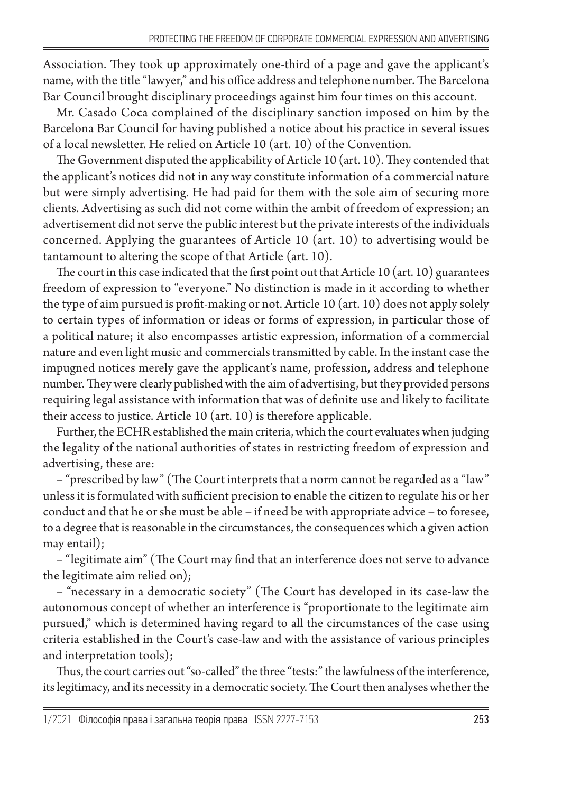Association. They took up approximately one-third of a page and gave the applicant's name, with the title "lawyer," and his office address and telephone number. The Barcelona Bar Council brought disciplinary proceedings against him four times on this account.

Mr. Casado Coca complained of the disciplinary sanction imposed on him by the Barcelona Bar Council for having published a notice about his practice in several issues of a local newsletter. He relied on Article 10 (art. 10) of the Convention.

The Government disputed the applicability of Article 10 (art. 10). They contended that the applicant's notices did not in any way constitute information of a commercial nature but were simply advertising. He had paid for them with the sole aim of securing more clients. Advertising as such did not come within the ambit of freedom of expression; an advertisement did not serve the public interest but the private interests of the individuals concerned. Applying the guarantees of Article 10 (art. 10) to advertising would be tantamount to altering the scope of that Article (art. 10).

The court in this case indicated that the first point out that Article 10 (art. 10) guarantees freedom of expression to "everyone." No distinction is made in it according to whether the type of aim pursued is profit-making or not. Article 10 (art. 10) does not apply solely to certain types of information or ideas or forms of expression, in particular those of a political nature; it also encompasses artistic expression, information of a commercial nature and even light music and commercials transmitted by cable. In the instant case the impugned notices merely gave the applicant's name, profession, address and telephone number. They were clearly published with the aim of advertising, but they provided persons requiring legal assistance with information that was of definite use and likely to facilitate their access to justice. Article 10 (art. 10) is therefore applicable.

Further, the ECHR established the main criteria, which the court evaluates when judging the legality of the national authorities of states in restricting freedom of expression and advertising, these are:

– "prescribed by law" (The Court interprets that a norm cannot be regarded as a "law" unless it is formulated with sufficient precision to enable the citizen to regulate his or her conduct and that he or she must be able – if need be with appropriate advice – to foresee, to a degree that is reasonable in the circumstances, the consequences which a given action may entail);

– "legitimate aim" (The Court may find that an interference does not serve to advance the legitimate aim relied on);

– "necessary in a democratic society" (The Court has developed in its case-law the autonomous concept of whether an interference is "proportionate to the legitimate aim pursued," which is determined having regard to all the circumstances of the case using criteria established in the Court's case-law and with the assistance of various principles and interpretation tools);

Thus, the court carries out "so-called" the three "tests:" the lawfulness of the interference, its legitimacy, and its necessity in a democratic society. The Court then analyses whether the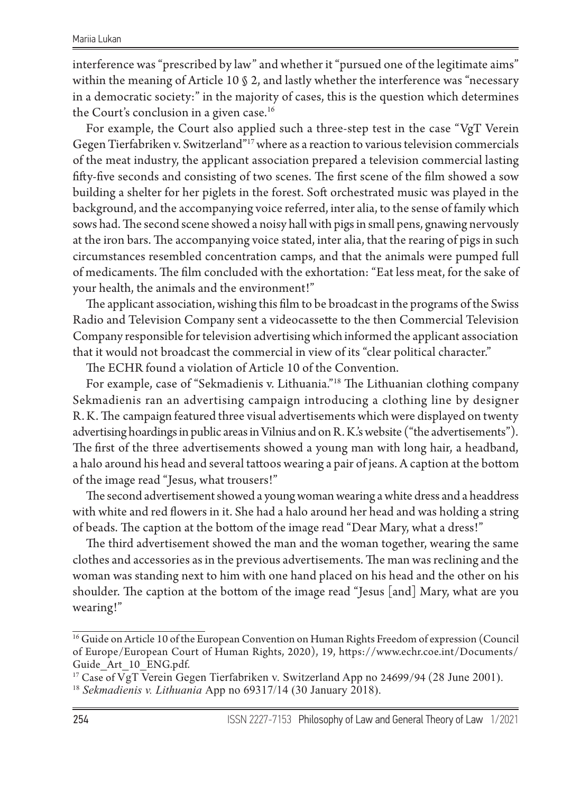interference was "prescribed by law" and whether it "pursued one of the legitimate aims" within the meaning of Article 10 § 2, and lastly whether the interference was "necessary in a democratic society:" in the majority of cases, this is the question which determines the Court's conclusion in a given case.<sup>16</sup>

For example, the Court also applied such a three-step test in the case "VgT Verein Gegen Tierfabriken v. Switzerland"<sup>17</sup> where as a reaction to various television commercials of the meat industry, the applicant association prepared a television commercial lasting fifty-five seconds and consisting of two scenes. The first scene of the film showed a sow building a shelter for her piglets in the forest. Soft orchestrated music was played in the background, and the accompanying voice referred, inter alia, to the sense of family which sows had. The second scene showed a noisy hall with pigs in small pens, gnawing nervously at the iron bars. The accompanying voice stated, inter alia, that the rearing of pigs in such circumstances resembled concentration camps, and that the animals were pumped full of medicaments. The film concluded with the exhortation: "Eat less meat, for the sake of your health, the animals and the environment!"

The applicant association, wishing this film to be broadcast in the programs of the Swiss Radio and Television Company sent a videocassette to the then Commercial Television Company responsible for television advertising which informed the applicant association that it would not broadcast the commercial in view of its "clear political character."

The ECHR found a violation of Article 10 of the Convention.

For example, case of "Sekmadienis v. Lithuania."18 The Lithuanian clothing company Sekmadienis ran an advertising campaign introducing a clothing line by designer R.K. The campaign featured three visual advertisements which were displayed on twenty advertising hoardings in public areas in Vilnius and on R. K.'s website ("the advertisements"). The first of the three advertisements showed a young man with long hair, a headband, a halo around his head and several tattoos wearing a pair of jeans. A caption at the bottom of the image read "Jesus, what trousers!"

The second advertisement showed a young woman wearing a white dress and a headdress with white and red flowers in it. She had a halo around her head and was holding a string of beads. The caption at the bottom of the image read "Dear Mary, what a dress!"

The third advertisement showed the man and the woman together, wearing the same clothes and accessories as in the previous advertisements. The man was reclining and the woman was standing next to him with one hand placed on his head and the other on his shoulder. The caption at the bottom of the image read "Jesus [and] Mary, what are you wearing!"

<sup>&</sup>lt;sup>16</sup> Guide on Article 10 of the European Convention on Human Rights Freedom of expression (Council of Europe/European Court of Human Rights, 2020), 19, https://www.echr.coe.int/Documents/ Guide Art 10 ENG.pdf.

<sup>17</sup> Case of VgT Verein Gegen Tierfabriken v. Switzerland App no 24699/94 (28 June 2001). 18 *Sekmadienis v. Lithuania* App no 69317/14 (30 January 2018).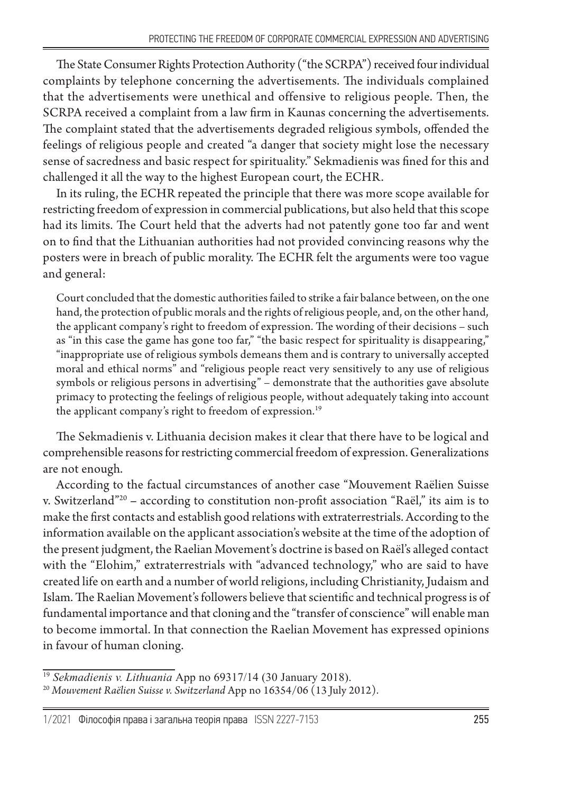The State Consumer Rights Protection Authority ("the SCRPA") received four individual complaints by telephone concerning the advertisements. The individuals complained that the advertisements were unethical and offensive to religious people. Then, the SCRPA received a complaint from a law firm in Kaunas concerning the advertisements. The complaint stated that the advertisements degraded religious symbols, offended the feelings of religious people and created "a danger that society might lose the necessary sense of sacredness and basic respect for spirituality." Sekmadienis was fined for this and challenged it all the way to the highest European court, the ECHR.

In its ruling, the ECHR repeated the principle that there was more scope available for restricting freedom of expression in commercial publications, but also held that this scope had its limits. The Court held that the adverts had not patently gone too far and went on to find that the Lithuanian authorities had not provided convincing reasons why the posters were in breach of public morality. The ECHR felt the arguments were too vague and general:

Court concluded that the domestic authorities failed to strike a fair balance between, on the one hand, the protection of public morals and the rights of religious people, and, on the other hand, the applicant company's right to freedom of expression. The wording of their decisions – such as "in this case the game has gone too far," "the basic respect for spirituality is disappearing," "inappropriate use of religious symbols demeans them and is contrary to universally accepted moral and ethical norms" and "religious people react very sensitively to any use of religious symbols or religious persons in advertising" – demonstrate that the authorities gave absolute primacy to protecting the feelings of religious people, without adequately taking into account the applicant company's right to freedom of expression.<sup>19</sup>

The Sekmadienis v. Lithuania decision makes it clear that there have to be logical and comprehensible reasons for restricting commercial freedom of expression. Generalizations are not enough.

According to the factual circumstances of another case "Mouvement Raëlien Suisse v. Switzerland"20 **–** according to constitution non-profit association "Raël," its aim is to make the first contacts and establish good relations with extraterrestrials. According to the information available on the applicant association's website at the time of the adoption of the present judgment, the Raelian Movement's doctrine is based on Raël's alleged contact with the "Elohim," extraterrestrials with "advanced technology," who are said to have created life on earth and a number of world religions, including Christianity, Judaism and Islam. The Raelian Movement's followers believe that scientific and technical progress is of fundamental importance and that cloning and the "transfer of conscience" will enable man to become immortal. In that connection the Raelian Movement has expressed opinions in favour of human cloning.

<sup>19</sup> *Sekmadienis v. Lithuania* App no 69317/14 (30 January 2018). <sup>20</sup> *Mouvement Raëlien Suisse v. Switzerland* App no 16354/06 (13 July 2012).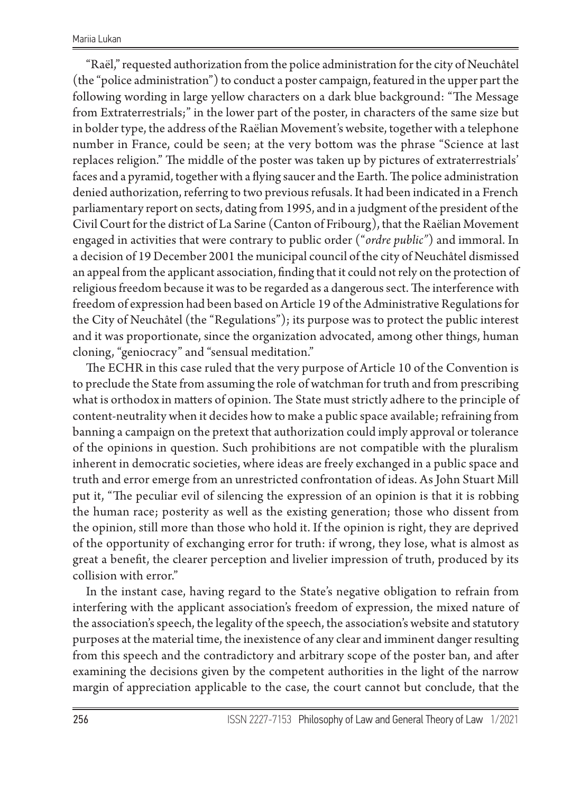"Raël," requested authorization from the police administration for the city of Neuchâtel (the "police administration") to conduct a poster campaign, featured in the upper part the following wording in large yellow characters on a dark blue background: "The Message from Extraterrestrials;" in the lower part of the poster, in characters of the same size but in bolder type, the address of the Raëlian Movement's website, together with a telephone number in France, could be seen; at the very bottom was the phrase "Science at last replaces religion." The middle of the poster was taken up by pictures of extraterrestrials' faces and a pyramid, together with a flying saucer and the Earth. The police administration denied authorization, referring to two previous refusals. It had been indicated in a French parliamentary report on sects, dating from 1995, and in a judgment of the president of the Civil Court for the district of La Sarine (Canton of Fribourg), that the Raëlian Movement engaged in activities that were contrary to public order ("*ordre public"*) and immoral. In a decision of 19 December 2001 the municipal council of the city of Neuchâtel dismissed an appeal from the applicant association, finding that it could not rely on the protection of religious freedom because it was to be regarded as a dangerous sect. The interference with freedom of expression had been based on Article 19 of the Administrative Regulations for the City of Neuchâtel (the "Regulations"); its purpose was to protect the public interest and it was proportionate, since the organization advocated, among other things, human cloning, "geniocracy" and "sensual meditation."

The ECHR in this case ruled that the very purpose of Article 10 of the Convention is to preclude the State from assuming the role of watchman for truth and from prescribing what is orthodox in matters of opinion. The State must strictly adhere to the principle of content-neutrality when it decides how to make a public space available; refraining from banning a campaign on the pretext that authorization could imply approval or tolerance of the opinions in question. Such prohibitions are not compatible with the pluralism inherent in democratic societies, where ideas are freely exchanged in a public space and truth and error emerge from an unrestricted confrontation of ideas. As John Stuart Mill put it, "The peculiar evil of silencing the expression of an opinion is that it is robbing the human race; posterity as well as the existing generation; those who dissent from the opinion, still more than those who hold it. If the opinion is right, they are deprived of the opportunity of exchanging error for truth: if wrong, they lose, what is almost as great a benefit, the clearer perception and livelier impression of truth, produced by its collision with error."

In the instant case, having regard to the State's negative obligation to refrain from interfering with the applicant association's freedom of expression, the mixed nature of the association's speech, the legality of the speech, the association's website and statutory purposes at the material time, the inexistence of any clear and imminent danger resulting from this speech and the contradictory and arbitrary scope of the poster ban, and after examining the decisions given by the competent authorities in the light of the narrow margin of appreciation applicable to the case, the court cannot but conclude, that the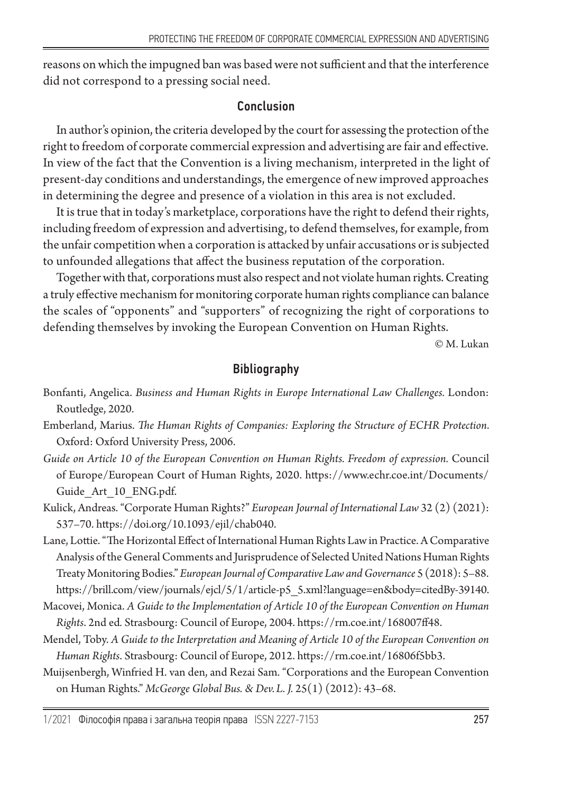reasons on which the impugned ban was based were not sufficient and that the interference did not correspond to a pressing social need.

### Conclusion

In author's opinion, the criteria developed by the court for assessing the protection of the right to freedom of corporate commercial expression and advertising are fair and effective. In view of the fact that the Convention is a living mechanism, interpreted in the light of present-day conditions and understandings, the emergence of new improved approaches in determining the degree and presence of a violation in this area is not excluded.

It is true that in today's marketplace, corporations have the right to defend their rights, including freedom of expression and advertising, to defend themselves, for example, from the unfair competition when a corporation is attacked by unfair accusations or is subjected to unfounded allegations that affect the business reputation of the corporation.

Together with that, corporations must also respect and not violate human rights. Creating a truly effective mechanism for monitoring corporate human rights compliance can balance the scales of "opponents" and "supporters" of recognizing the right of corporations to defending themselves by invoking the European Convention on Human Rights.

© M. Lukan

# Bibliography

- Bonfanti, Angelica. *Business and Human Rights in Europe International Law Challenges.* London: Routledge, 2020.
- Emberland, Marius. *The Human Rights of Companies: Exploring the Structure of ECHR Protection*. Oxford: Oxford University Press, 2006.
- *Guide on Article 10 of the European Convention on Human Rights. Freedom of expression.* Council of Europe/European Court of Human Rights, 2020. https://www.echr.coe.int/Documents/ Guide Art 10 ENG.pdf.
- Kulick, Andreas. "Corporate Human Rights?" *European Journal of International Law* 32 (2) (2021): 537–70. https://doi.org/10.1093/ejil/chab040.
- Lane, Lottie. "The Horizontal Effect of International Human Rights Law in Practice. A Comparative Analysis of the General Comments and Jurisprudence of Selected United Nations Human Rights Treaty Monitoring Bodies." *European Journal of Comparative Law and Governance* 5 (2018): 5–88. https://brill.com/view/journals/ejcl/5/1/article-p5\_5.xml?language=en&body=citedBy-39140.
- Macovei, Monica. *A Guide to the Implementation of Article 10 of the European Convention on Human Rights*. 2nd ed*.* Strasbourg: Council of Europe, 2004. https://rm.coe.int/168007ff48.
- Mendel, Toby. *A Guide to the Interpretation and Meaning of Article 10 of the European Convention on Human Rights*. Strasbourg: Council of Europe, 2012. https://rm.coe.int/16806f5bb3.
- Muijsenbergh, Winfried H. van den, and Rezai Sam. "Corporations and the European Convention on Human Rights." *McGeorge Global Bus. & Dev.L. J.* 25(1) (2012): 43–68.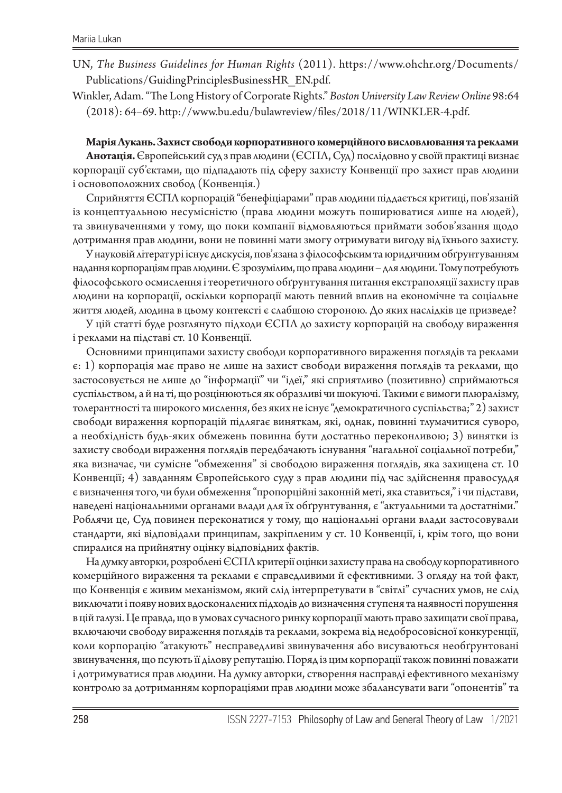UN, *The Business Guidelines for Human Rights* (2011). https://www.ohchr.org/Documents/ Publications/GuidingPrinciplesBusinessHR\_EN.pdf.

Winkler, Adam. "The Long History of Corporate Rights." *Boston University Law Review Online* 98:64 (2018): 64–69. http://www.bu.edu/bulawreview/files/2018/11/WINKLER-4.pdf.

#### **Марія Лукань. Захист свободи корпоративного комерційного висловлювання та реклами**

**Анотація.** Європейський суд з прав людини (ЄСПЛ, Суд) послідовно у своїй практиці визнає корпорації суб'єктами, що підпадають під сферу захисту Конвенції про захист прав людини і основоположних свобод (Конвенція.)

Сприйняття ЄСПЛ корпорацій "бенефіціарами" прав людини піддається критиці, пов'язаній із концептуальною несумісністю (права людини можуть поширюватися лише на людей), та звинуваченнями у тому, що поки компанії відмовляються приймати зобов'язання щодо дотримання прав людини, вони не повинні мати змогу отримувати вигоду від їхнього захисту.

У науковій літературі існує дискусія, пов'язана з філософським та юридичним обґрунтуванням надання корпораціям прав людини. Є зрозумілим, що права людини – для людини. Тому потребують філософського осмислення і теоретичного обґрунтування питання екстраполяції захисту прав людини на корпорації, оскільки корпорації мають певний вплив на економічне та соціальне життя людей, людина в цьому контексті є слабшою стороною. До яких наслідків це призведе?

У цій статті буде розглянуто підходи ЄСПЛ до захисту корпорацій на свободу вираження і реклами на підставі ст. 10 Конвенції.

Основними принципами захисту свободи корпоративного вираження поглядів та реклами є: 1) корпорація має право не лише на захист свободи вираження поглядів та реклами, що застосовується не лише до "інформації" чи "ідеї," які сприятливо (позитивно) сприймаються суспільством, а й на ті, що розцінюються як образливі чи шокуючі. Такими є вимоги плюралізму, толерантності та широкого мислення, без яких не існує "демократичного суспільства;" 2) захист свободи вираження корпорацій підлягає виняткам, які, однак, повинні тлумачитися суворо, а необхідність будь-яких обмежень повинна бути достатньо переконливою; 3) винятки із захисту свободи вираження поглядів передбачають існування "нагальної соціальної потреби," яка визначає, чи сумісне "обмеження" зі свободою вираження поглядів, яка захищена ст. 10 Конвенції; 4) завданням Європейського суду з прав людини під час здійснення правосуддя є визначення того, чи були обмеження "пропорційні законній меті, яка ставиться," і чи підстави, наведені національними органами влади для їх обґрунтування, є "актуальними та достатніми." Роблячи це, Суд повинен переконатися у тому, що національні органи влади застосовували стандарти, які відповідали принципам, закріпленим у ст. 10 Конвенції, і, крім того, що вони спиралися на прийнятну оцінку відповідних фактів.

На думку авторки, розроблені ЄСПЛ критерії оцінки захисту права на свободу корпоративного комерційного вираження та реклами є справедливими й ефективними. З огляду на той факт, що Конвенція є живим механізмом, який слід інтерпретувати в "світлі" сучасних умов, не слід виключати і появу нових вдосконалених підходів до визначення ступеня та наявності порушення в цій галузі. Це правда, що в умовах сучасного ринку корпорації мають право захищати свої права, включаючи свободу вираження поглядів та реклами, зокрема від недобросовісної конкуренції, коли корпорацію "атакують" несправедливі звинувачення або висуваються необґрунтовані звинувачення, що псують її ділову репутацію. Поряд із цим корпорації також повинні поважати і дотримуватися прав людини. На думку авторки, створення насправді ефективного механізму контролю за дотриманням корпораціями прав людини може збалансувати ваги "опонентів" та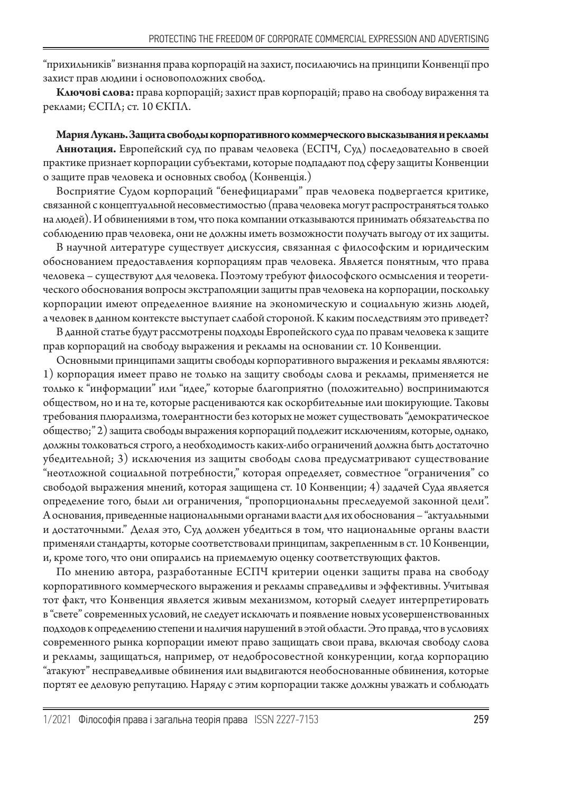"прихильників" визнання права корпорацій на захист, посилаючись на принципи Конвенції про захист прав людини і основоположних свобод.

**Ключові слова:** права корпорацій; захист прав корпорацій; право на свободу вираження та реклами; ЄСПЛ; ст. 10 ЄКПЛ.

**Мария Лукань. Защита свободы корпоративного коммерческого высказывания и рекламы Аннотация.** Европейский суд по правам человека (ЕСПЧ, Суд) последовательно в своей практике признает корпорации субъектами, которые подпадают под сферу защиты Конвенции о защите прав человека и основных свобод (Конвенція.)

Восприятие Судом корпораций "бенефициарами" прав человека подвергается критике, связанной с концептуальной несовместимостью (права человека могут распространяться только на людей). И обвинениями в том, что пока компании отказываются принимать обязательства по соблюдению прав человека, они не должны иметь возможности получать выгоду от их защиты.

В научной литературе существует дискуссия, связанная с философским и юридическим обоснованием предоставления корпорациям прав человека. Является понятным, что права человека – существуют для человека. Поэтому требуют философского осмысления и теоретического обоснования вопросы экстраполяции защиты прав человека на корпорации, поскольку корпорации имеют определенное влияние на экономическую и социальную жизнь людей, а человек в данном контексте выступает слабой стороной. К каким последствиям это приведет?

В данной статье будут рассмотрены подходы Европейского суда по правам человека к защите прав корпораций на свободу выражения и рекламы на основании ст. 10 Конвенции.

Основными принципами защиты свободы корпоративного выражения и рекламы являются: 1) корпорация имеет право не только на защиту свободы слова и рекламы, применяется не только к "информации" или "идее," которые благоприятно (положительно) воспринимаются обществом, но и на те, которые расцениваются как оскорбительные или шокирующие. Таковы требования плюрализма, толерантности без которых не может существовать "демократическое общество;" 2) защита свободы выражения корпораций подлежит исключениям, которые, однако, должны толковаться строго, а необходимость каких-либо ограничений должна быть достаточно убедительной; 3) исключения из защиты свободы слова предусматривают существование "неотложной социальной потребности," которая определяет, совместное "ограничения" со свободой выражения мнений, которая защищена ст. 10 Конвенции; 4) задачей Суда является определение того, были ли ограничения, "пропорциональны преследуемой законной цели". А основания, приведенные национальными органами власти для их обоснования – "актуальными и достаточными." Делая это, Суд должен убедиться в том, что национальные органы власти применяли стандарты, которые соответствовали принципам, закрепленным в ст. 10 Конвенции, и, кроме того, что они опирались на приемлемую оценку соответствующих фактов.

По мнению автора, разработанные ЕСПЧ критерии оценки защиты права на свободу корпоративного коммерческого выражения и рекламы справедливы и эффективны. Учитывая тот факт, что Конвенция является живым механизмом, который следует интерпретировать в "свете" современных условий, не следует исключать и появление новых усовершенствованных подходов к определению степени и наличия нарушений в этой области. Это правда, что в условиях современного рынка корпорации имеют право защищать свои права, включая свободу слова и рекламы, защищаться, например, от недобросовестной конкуренции, когда корпорацию "атакуют" несправедливые обвинения или выдвигаются необоснованные обвинения, которые портят ее деловую репутацию. Наряду с этим корпорации также должны уважать и соблюдать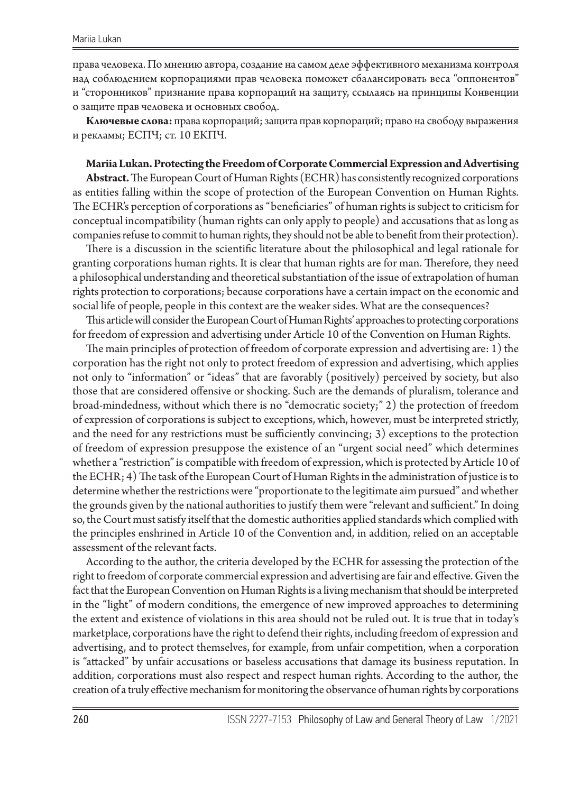права человека. По мнению автора, создание на самом деле эффективного механизма контроля над соблюдением корпорациями прав человека поможет сбалансировать веса "оппонентов" и "сторонников" признание права корпораций на защиту, ссылаясь на принципы Конвенции о защите прав человека и основных свобод.

**Ключевые слова:** права корпораций; защита прав корпораций; право на свободу выражения и рекламы; ЕСПЧ; ст. 10 ЕКПЧ.

#### **Mariia Lukan. Protecting the Freedom of Corporate Commercial Expression and Advertising**

**Abstract.** The European Court of Human Rights (ECHR) has consistently recognized corporations as entities falling within the scope of protection of the European Convention on Human Rights. The ECHR's perception of corporations as "beneficiaries" of human rights is subject to criticism for conceptual incompatibility (human rights can only apply to people) and accusations that as long as companies refuse to commit to human rights, they should not be able to benefit from their protection).

There is a discussion in the scientific literature about the philosophical and legal rationale for granting corporations human rights. It is clear that human rights are for man. Therefore, they need a philosophical understanding and theoretical substantiation of the issue of extrapolation of human rights protection to corporations; because corporations have a certain impact on the economic and social life of people, people in this context are the weaker sides. What are the consequences?

This article will consider the European Court of Human Rights' approaches to protecting corporations for freedom of expression and advertising under Article 10 of the Convention on Human Rights.

The main principles of protection of freedom of corporate expression and advertising are: 1) the corporation has the right not only to protect freedom of expression and advertising, which applies not only to "information" or "ideas" that are favorably (positively) perceived by society, but also those that are considered offensive or shocking. Such are the demands of pluralism, tolerance and broad-mindedness, without which there is no "democratic society;" 2) the protection of freedom of expression of corporations is subject to exceptions, which, however, must be interpreted strictly, and the need for any restrictions must be sufficiently convincing; 3) exceptions to the protection of freedom of expression presuppose the existence of an "urgent social need" which determines whether a "restriction" is compatible with freedom of expression, which is protected by Article 10 of the ECHR; 4) The task of the European Court of Human Rights in the administration of justice is to determine whether the restrictions were "proportionate to the legitimate aim pursued" and whether the grounds given by the national authorities to justify them were "relevant and sufficient." In doing so, the Court must satisfy itself that the domestic authorities applied standards which complied with the principles enshrined in Article 10 of the Convention and, in addition, relied on an acceptable assessment of the relevant facts.

According to the author, the criteria developed by the ECHR for assessing the protection of the right to freedom of corporate commercial expression and advertising are fair and effective. Given the fact that the European Convention on Human Rights is a living mechanism that should be interpreted in the "light" of modern conditions, the emergence of new improved approaches to determining the extent and existence of violations in this area should not be ruled out. It is true that in today's marketplace, corporations have the right to defend their rights, including freedom of expression and advertising, and to protect themselves, for example, from unfair competition, when a corporation is "attacked" by unfair accusations or baseless accusations that damage its business reputation. In addition, corporations must also respect and respect human rights. According to the author, the creation of a truly effective mechanism for monitoring the observance of human rights by corporations